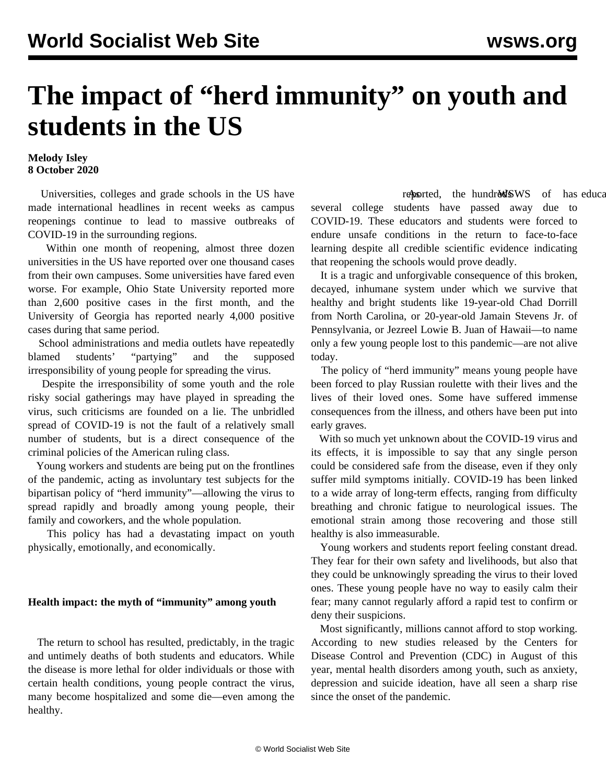# **The impact of "herd immunity" on youth and students in the US**

# **Melody Isley 8 October 2020**

 Universities, colleges and grade schools in the US have made international headlines in recent weeks as campus reopenings continue to lead to massive outbreaks of COVID-19 in the surrounding regions.

 Within one month of reopening, almost three dozen universities in the US have reported over one thousand cases from their own campuses. Some universities have fared even worse. For example, Ohio State University reported more than 2,600 positive cases in the first month, and the University of Georgia has reported nearly 4,000 positive cases during that same period.

 School administrations and media outlets have repeatedly blamed students' "partying" and the supposed irresponsibility of young people for spreading the virus.

 Despite the irresponsibility of some youth and the role risky social gatherings may have played in spreading the virus, such criticisms are founded on a lie. The unbridled spread of COVID-19 is not the fault of a relatively small number of students, but is a direct consequence of the criminal policies of the American ruling class.

 Young workers and students are being put on the frontlines of the pandemic, acting as involuntary test subjects for the bipartisan policy of ["herd immunity](/en/articles/2020/09/17/pers-s17.html)"—allowing the virus to spread rapidly and broadly among young people, their family and coworkers, and the whole population.

 This policy has had a devastating impact on youth physically, emotionally, and economically.

## **Health impact: the myth of "immunity" among youth**

 The return to school has resulted, predictably, in the tragic and untimely deaths of both students and educators. While the disease is more lethal for older individuals or those with certain health conditions, young people contract the virus, many become hospitalized and some die—even among the healthy.

reported, the hundred SWS of has educated as  $\frac{d}{dt}$ several college students have passed away due to COVID-19. These educators and students were forced to endure unsafe conditions in the return to face-to-face learning despite all credible scientific evidence indicating that reopening the schools would prove deadly.

 It is a tragic and unforgivable consequence of this broken, decayed, inhumane system under which we survive that healthy and bright students like 19-year-old [Chad Dorrill](/en/articles/2020/10/02/caro-o02.html) from North Carolina, or 20-year-old [Jamain Stevens Jr.](/en/articles/2020/09/24/penn-s24.html) of Pennsylvania, or Jezreel Lowie B. Juan of Hawaii—to name only a few young people lost to this pandemic—are not alive today.

 The policy of "herd immunity" means young people have been forced to play Russian roulette with their lives and the lives of their loved ones. Some have suffered immense consequences from the illness, and others have been put into early graves.

 With so much yet unknown about the COVID-19 virus and its effects, it is impossible to say that any single person could be considered safe from the disease, even if they only suffer mild symptoms initially. COVID-19 has been linked to a wide array of long-term effects, ranging from difficulty breathing and chronic fatigue to neurological issues. The emotional strain among those recovering and those still healthy is also immeasurable.

 Young workers and students report feeling constant dread. They fear for their own safety and livelihoods, but also that they could be unknowingly spreading the virus to their loved ones. These young people have no way to easily calm their fear; many cannot regularly afford a rapid test to confirm or deny their suspicions.

 Most significantly, millions cannot afford to stop working. According to new studies released by the Centers for Disease Control and Prevention (CDC) in August of this year, mental health disorders among youth, such as anxiety, depression and suicide ideation, have all seen a sharp rise since the onset of the pandemic.